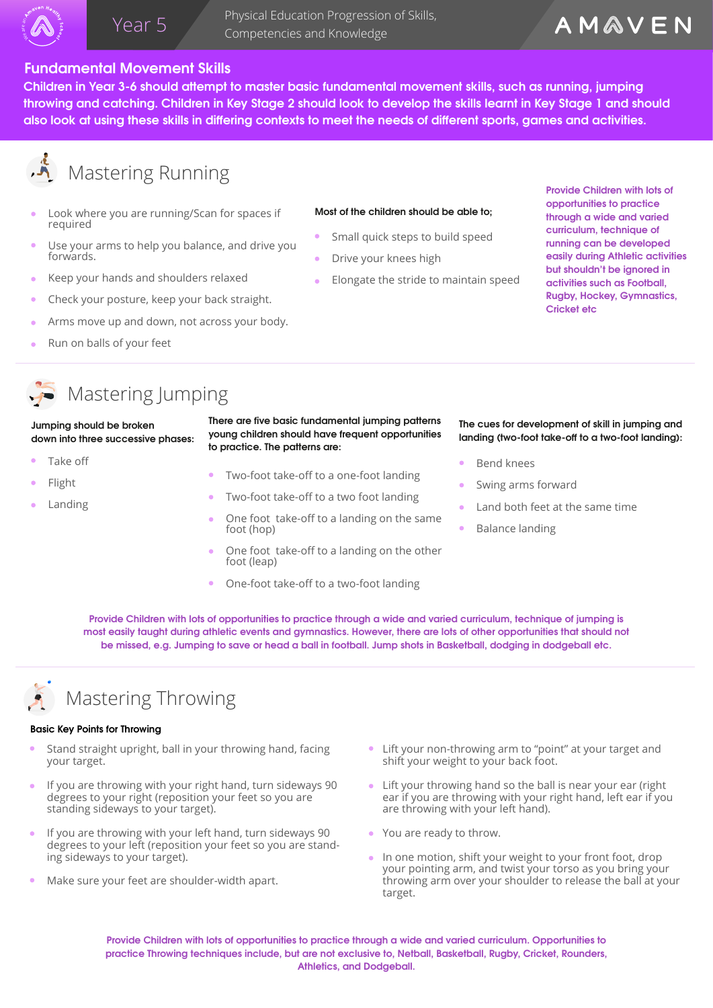

 Physical Education Progression of Skills, Year 5 Thiysical Education Progression<br>Competencies and Knowledge

## **Fundamental Movement Skills**

**Children in Year 3-6 should attempt to master basic fundamental movement skills, such as running, jumping throwing and catching. Children in Key Stage 2 should look to develop the skills learnt in Key Stage 1 and should**  also look at using these skills in differing contexts to meet the needs of different sports, games and activities.

# **A** Mastering Running

- Look where you are running/Scan for spaces if required
- Use your arms to help you balance, and drive you forwards.
- Keep your hands and shoulders relaxed
- Check your posture, keep your back straight.
- Arms move up and down, not across your body.
- Run on balls of your feet  $\Delta$

### **Most of the children should be able to;**

- Small quick steps to build speed
- Drive your knees high
- Elongate the stride to maintain speed

**Provide Children with lots of opportunities to practice through a wide and varied curriculum, technique of running can be developed easily during Athletic activities but shouldn't be ignored in activities such as Football, Rugby, Hockey, Gymnastics, Cricket etc**

# Mastering Jumping

### **Jumping should be broken down into three successive phases:**

- Take off
- Flight
- Landing

There are five basic fundamental jumping patterns **young children should have frequent opportunities to practice. The patterns are:** 

- Two-foot take-off to a one-foot landing
- Two-foot take-off to a two foot landing
- One foot take-off to a landing on the same foot (hop)
- One foot take-off to a landing on the other foot (leap)
- One-foot take-off to a two-foot landing

### **The cues for development of skill in jumping and**  landing (two-foot take-off to a two-foot landing):

- Bend knees
- Swing arms forward
- Land both feet at the same time
- Balance landing

**Provide Children with lots of opportunities to practice through a wide and varied curriculum, technique of jumping is most easily taught during athletic events and gymnastics. However, there are lots of other opportunities that should not be missed, e.g. Jumping to save or head a ball in football. Jump shots in Basketball, dodging in dodgeball etc.** 



# Mastering Throwing

### **Basic Key Points for Throwing**

- Stand straight upright, ball in your throwing hand, facing your target.
- If you are throwing with your right hand, turn sideways 90 degrees to your right (reposition your feet so you are standing sideways to your target).
- If you are throwing with your left hand, turn sideways 90 degrees to your left (reposition your feet so you are standing sideways to your target).
- Make sure your feet are shoulder-width apart.
- Lift your non-throwing arm to "point" at your target and shift your weight to your back foot.
- Lift your throwing hand so the ball is near your ear (right ear if you are throwing with your right hand, left ear if you are throwing with your left hand).
- You are ready to throw.
- In one motion, shift your weight to your front foot, drop your pointing arm, and twist your torso as you bring your throwing arm over your shoulder to release the ball at your target.

**Provide Children with lots of opportunities to practice through a wide and varied curriculum. Opportunities to practice Throwing techniques include, but are not exclusive to, Netball, Basketball, Rugby, Cricket, Rounders, Athletics, and Dodgeball.**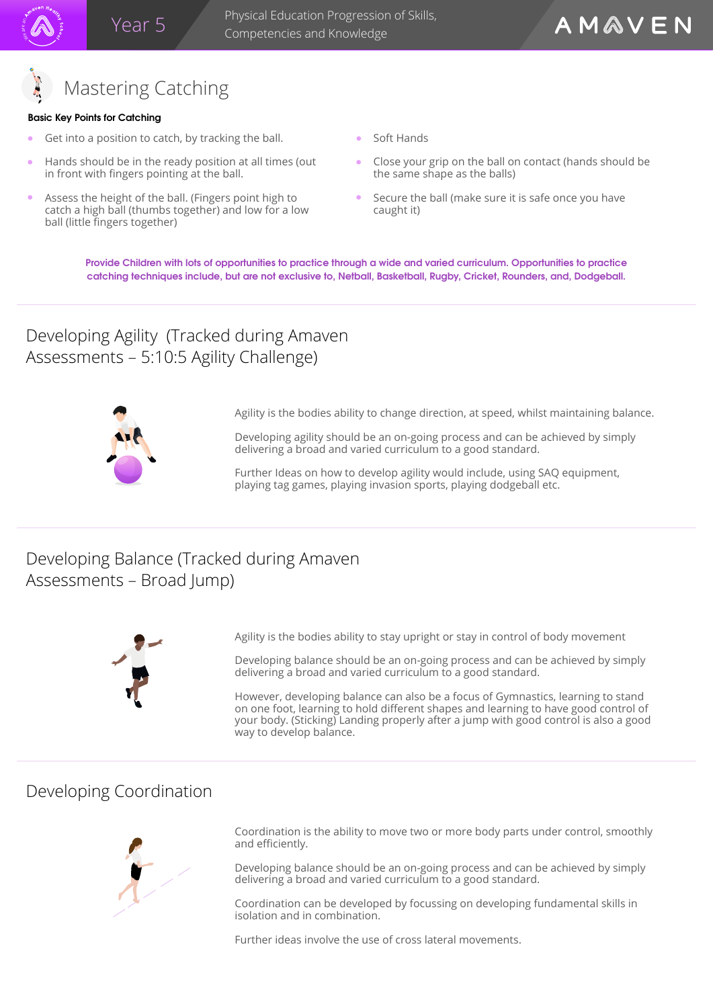

## **Basic Key Points for Catching**

- Get into a position to catch, by tracking the ball.
- Hands should be in the ready position at all times (out in front with fingers pointing at the ball.
- Assess the height of the ball. (Fingers point high to catch a high ball (thumbs together) and low for a low ball (little fingers together)
- Soft Hands
- Close your grip on the ball on contact (hands should be the same shape as the balls)
- Secure the ball (make sure it is safe once you have caught it)

**Provide Children with lots of opportunities to practice through a wide and varied curriculum. Opportunities to practice catching techniques include, but are not exclusive to, Netball, Basketball, Rugby, Cricket, Rounders, and, Dodgeball.**

# Developing Agility (Tracked during Amaven Assessments – 5:10:5 Agility Challenge)



Agility is the bodies ability to change direction, at speed, whilst maintaining balance.

Developing agility should be an on-going process and can be achieved by simply delivering a broad and varied curriculum to a good standard.

Further Ideas on how to develop agility would include, using SAQ equipment, playing tag games, playing invasion sports, playing dodgeball etc.

# Developing Balance (Tracked during Amaven Assessments – Broad Jump)



Agility is the bodies ability to stay upright or stay in control of body movement

Developing balance should be an on-going process and can be achieved by simply delivering a broad and varied curriculum to a good standard.

However, developing balance can also be a focus of Gymnastics, learning to stand on one foot, learning to hold different shapes and learning to have good control of your body. (Sticking) Landing properly after a jump with good control is also a good way to develop balance.

# Developing Coordination



Coordination is the ability to move two or more body parts under control, smoothly and efficiently.

Developing balance should be an on-going process and can be achieved by simply delivering a broad and varied curriculum to a good standard.

Coordination can be developed by focussing on developing fundamental skills in isolation and in combination.

Further ideas involve the use of cross lateral movements.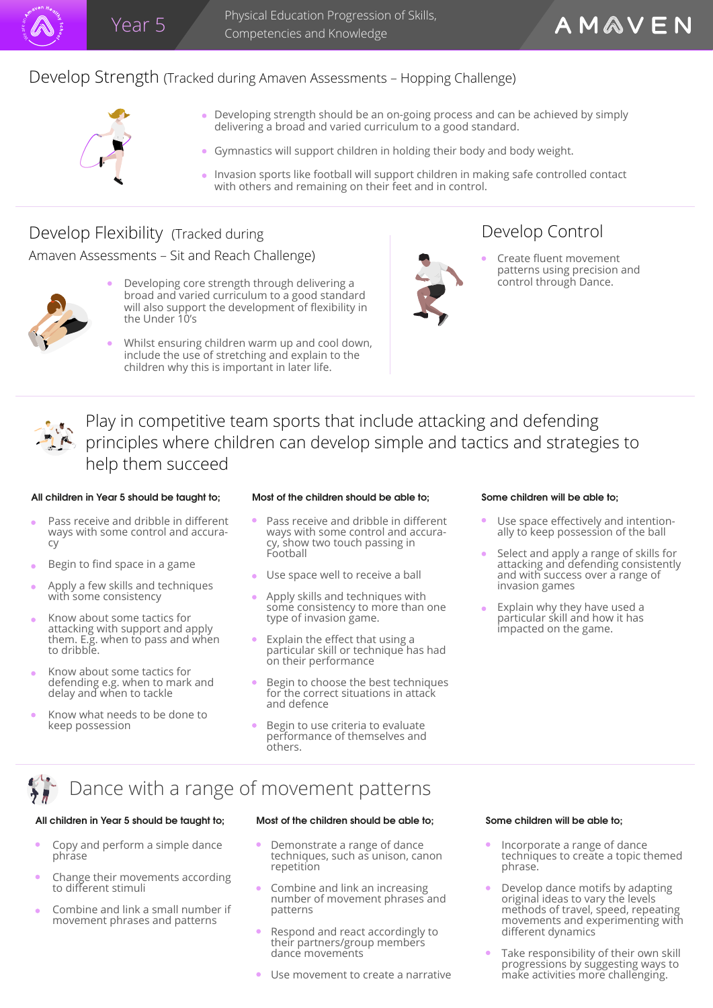

Physical Education Progression of Skills, Competencies and Knowledge



- Developing strength should be an on-going process and can be achieved by simply delivering a broad and varied curriculum to a good standard.
- Gymnastics will support children in holding their body and body weight.
- Invasion sports like football will support children in making safe controlled contact with others and remaining on their feet and in control.

# Develop Flexibility (Tracked during

Amaven Assessments – Sit and Reach Challenge) and the Create fluent movement



- Developing core strength through delivering a  $\bullet$ broad and varied curriculum to a good standard will also support the development of flexibility in the Under 10's
- Whilst ensuring children warm up and cool down, include the use of stretching and explain to the children why this is important in later life.



# Develop Control

patterns using precision and control through Dance.

AMAVEN

Play in competitive team sports that include attacking and defending principles where children can develop simple and tactics and strategies to help them succeed

### **All children in Year 5 should be taught to; Most of the children should be able to; Some children will be able to;**

- Pass receive and dribble in different ways with some control and accuracy
- Begin to find space in a game
- Apply a few skills and techniques with some consistency
- Know about some tactics for attacking with support and apply them. E.g. when to pass and when to dribble.
- Know about some tactics for defending e.g. when to mark and delay and when to tackle
- Know what needs to be done to keep possession

- Pass receive and dribble in different ways with some control and accuracy, show two touch passing in Football
- Use space well to receive a ball
- Apply skills and techniques with some consistency to more than one type of invasion game.
- Explain the effect that using a particular skill or technique has had on their performance
- Begin to choose the best techniques for the correct situations in attack and defence
- Begin to use criteria to evaluate performance of themselves and others.

- Use space effectively and intentionally to keep possession of the ball
- Select and apply a range of skills for attacking and defending consistently and with success over a range of invasion games
- Explain why they have used a particular skill and how it has impacted on the game.

# Dance with a range of movement patterns

### **All children in Year 5 should be taught to; Most of the children should be able to; Some children will be able to;**

- Copy and perform a simple dance phrase
- Change their movements according to different stimuli
- Combine and link a small number if movement phrases and patterns

- Demonstrate a range of dance techniques, such as unison, canon repetition
- Combine and link an increasing number of movement phrases and patterns
- Respond and react accordingly to their partners/group members dance movements
- **Use movement to create a narrative**

- Incorporate a range of dance techniques to create a topic themed phrase.
- Develop dance motifs by adapting original ideas to vary the levels methods of travel, speed, repeating movements and experimenting with different dynamics
- Take responsibility of their own skill progressions by suggesting ways to make activities more challenging.